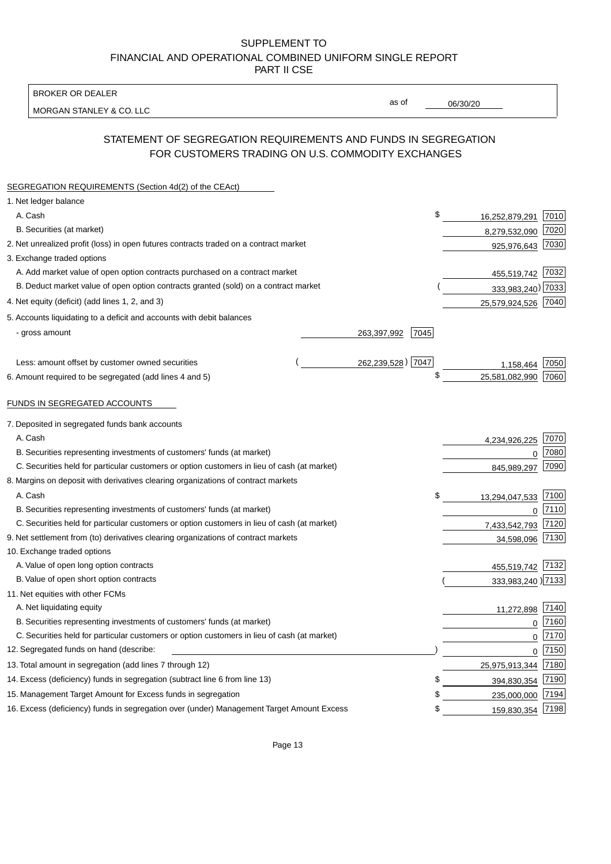BROKER OR DEALER

MORGAN STANLEY & CO. LLC

06/30/20

as of

# STATEMENT OF SEGREGATION REQUIREMENTS AND FUNDS IN SEGREGATION FOR CUSTOMERS TRADING ON U.S. COMMODITY EXCHANGES

| SEGREGATION REQUIREMENTS (Section 4d(2) of the CEAct)                                       |                     |                     |      |
|---------------------------------------------------------------------------------------------|---------------------|---------------------|------|
| 1. Net ledger balance                                                                       |                     |                     |      |
| A. Cash                                                                                     | \$                  | 16,252,879,291      | 7010 |
| B. Securities (at market)                                                                   |                     | 8,279,532,090       | 7020 |
| 2. Net unrealized profit (loss) in open futures contracts traded on a contract market       |                     | 925,976,643         | 7030 |
| 3. Exchange traded options                                                                  |                     |                     |      |
| A. Add market value of open option contracts purchased on a contract market                 |                     | 455,519,742 7032    |      |
| B. Deduct market value of open option contracts granted (sold) on a contract market         |                     | 333,983,240) 7033   |      |
| 4. Net equity (deficit) (add lines 1, 2, and 3)                                             |                     | 25,579,924,526 7040 |      |
| 5. Accounts liquidating to a deficit and accounts with debit balances                       |                     |                     |      |
| - gross amount                                                                              | 263,397,992<br>7045 |                     |      |
|                                                                                             |                     |                     |      |
| Less: amount offset by customer owned securities                                            | 262,239,528) 7047   | 1.158.464           | 7050 |
| 6. Amount required to be segregated (add lines 4 and 5)                                     | \$                  | 25,581,082,990      | 7060 |
|                                                                                             |                     |                     |      |
| FUNDS IN SEGREGATED ACCOUNTS                                                                |                     |                     |      |
| 7. Deposited in segregated funds bank accounts                                              |                     |                     |      |
| A. Cash                                                                                     |                     | 4,234,926,225       | 7070 |
| B. Securities representing investments of customers' funds (at market)                      |                     | 0                   | 7080 |
| C. Securities held for particular customers or option customers in lieu of cash (at market) |                     | 845,989,297         | 7090 |
| 8. Margins on deposit with derivatives clearing organizations of contract markets           |                     |                     |      |
| A. Cash                                                                                     | \$                  | 13,294,047,533      | 7100 |
| B. Securities representing investments of customers' funds (at market)                      |                     | 0                   | 7110 |
| C. Securities held for particular customers or option customers in lieu of cash (at market) |                     | 7,433,542,793       | 7120 |
| 9. Net settlement from (to) derivatives clearing organizations of contract markets          |                     | 34,598,096          | 7130 |
| 10. Exchange traded options                                                                 |                     |                     |      |
| A. Value of open long option contracts                                                      |                     | 455,519,742 7132    |      |
| B. Value of open short option contracts                                                     |                     | 333,983,240) 7133   |      |
| 11. Net equities with other FCMs                                                            |                     |                     |      |
| A. Net liquidating equity                                                                   |                     | 11,272,898          | 7140 |
| B. Securities representing investments of customers' funds (at market)                      |                     | $\mathbf 0$         | 7160 |
| C. Securities held for particular customers or option customers in lieu of cash (at market) |                     | $\mathbf 0$         | 7170 |
| 12. Segregated funds on hand (describe:                                                     |                     | $\overline{0}$      | 7150 |
| 13. Total amount in segregation (add lines 7 through 12)                                    |                     | 25,975,913,344 7180 |      |
| 14. Excess (deficiency) funds in segregation (subtract line 6 from line 13)                 | S                   | 394,830,354         | 7190 |
| 15. Management Target Amount for Excess funds in segregation                                | \$                  | 235,000,000         | 7194 |
| 16. Excess (deficiency) funds in segregation over (under) Management Target Amount Excess   | \$                  | 159,830,354 7198    |      |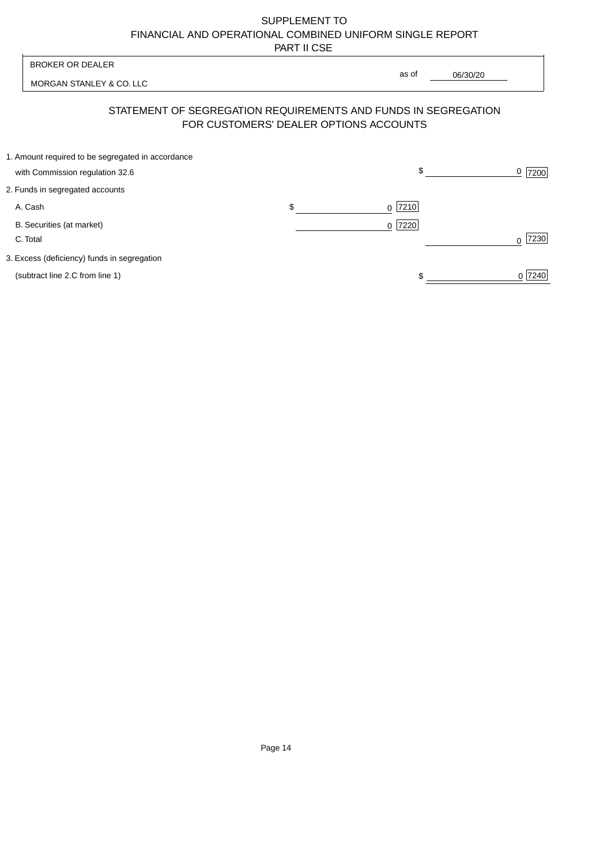| <b>BROKER OR DEALER</b>                                                                                  |                | as of |          |           |
|----------------------------------------------------------------------------------------------------------|----------------|-------|----------|-----------|
| MORGAN STANLEY & CO. LLC                                                                                 |                |       | 06/30/20 |           |
| STATEMENT OF SEGREGATION REQUIREMENTS AND FUNDS IN SEGREGATION<br>FOR CUSTOMERS' DEALER OPTIONS ACCOUNTS |                |       |          |           |
| 1. Amount required to be segregated in accordance<br>with Commission regulation 32.6                     |                | \$    |          | 7200      |
| 2. Funds in segregated accounts                                                                          |                |       |          |           |
| A. Cash                                                                                                  | \$<br>$\Omega$ | 7210  |          |           |
| B. Securities (at market)<br>C. Total                                                                    | $\Omega$       | 7220  |          | 7230<br>∩ |
| 3. Excess (deficiency) funds in segregation                                                              |                |       |          |           |
| (subtract line 2.C from line 1)                                                                          |                |       |          | 0 7240    |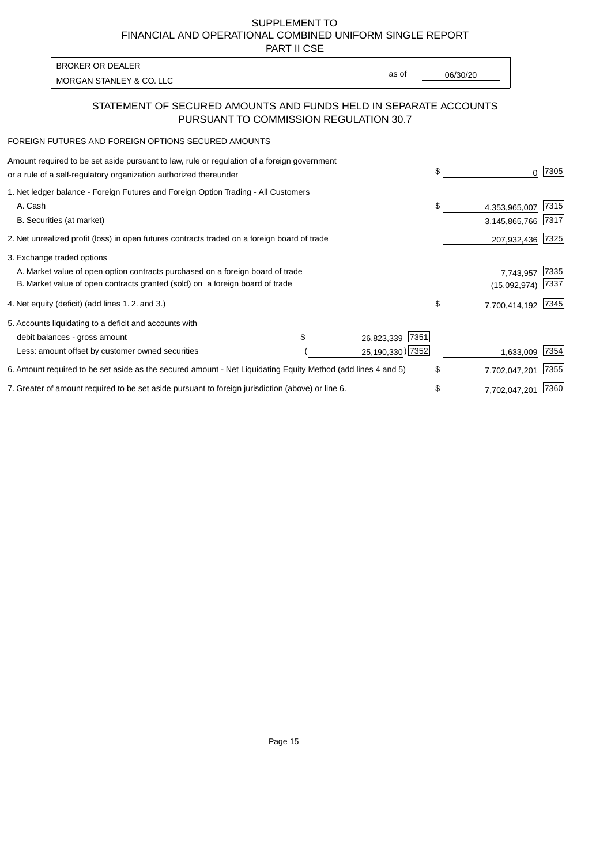PART II CSE

| BROKER OR DEALER         |       |          |
|--------------------------|-------|----------|
|                          | as of | 06/30/20 |
| MORGAN STANLEY & CO. LLC |       |          |

### STATEMENT OF SECURED AMOUNTS AND FUNDS HELD IN SEPARATE ACCOUNTS PURSUANT TO COMMISSION REGULATION 30.7

#### FOREIGN FUTURES AND FOREIGN OPTIONS SECURED AMOUNTS

| Amount required to be set aside pursuant to law, rule or regulation of a foreign government<br>or a rule of a self-regulatory organization authorized thereunder |  |                    | \$<br>0             | 7305 |
|------------------------------------------------------------------------------------------------------------------------------------------------------------------|--|--------------------|---------------------|------|
| 1. Net ledger balance - Foreign Futures and Foreign Option Trading - All Customers                                                                               |  |                    |                     |      |
| A. Cash                                                                                                                                                          |  |                    | \$<br>4,353,965,007 | 7315 |
| B. Securities (at market)                                                                                                                                        |  |                    | 3,145,865,766       | 7317 |
| 2. Net unrealized profit (loss) in open futures contracts traded on a foreign board of trade                                                                     |  |                    | 207,932,436         | 7325 |
| 3. Exchange traded options                                                                                                                                       |  |                    |                     |      |
| A. Market value of open option contracts purchased on a foreign board of trade                                                                                   |  |                    | 7,743,957           | 7335 |
| B. Market value of open contracts granted (sold) on a foreign board of trade                                                                                     |  |                    | (15,092,974)        | 7337 |
| 4. Net equity (deficit) (add lines 1.2. and 3.)                                                                                                                  |  |                    | \$<br>7,700,414,192 | 7345 |
| 5. Accounts liquidating to a deficit and accounts with                                                                                                           |  |                    |                     |      |
| debit balances - gross amount                                                                                                                                    |  | 7351<br>26,823,339 |                     |      |
| Less: amount offset by customer owned securities                                                                                                                 |  | 25,190,330) 7352   | 1,633,009           | 7354 |
| 6. Amount required to be set aside as the secured amount - Net Liquidating Equity Method (add lines 4 and 5)                                                     |  |                    | \$<br>7,702,047,201 | 7355 |
| 7. Greater of amount required to be set aside pursuant to foreign jurisdiction (above) or line 6.                                                                |  |                    | \$<br>7,702,047,201 | 7360 |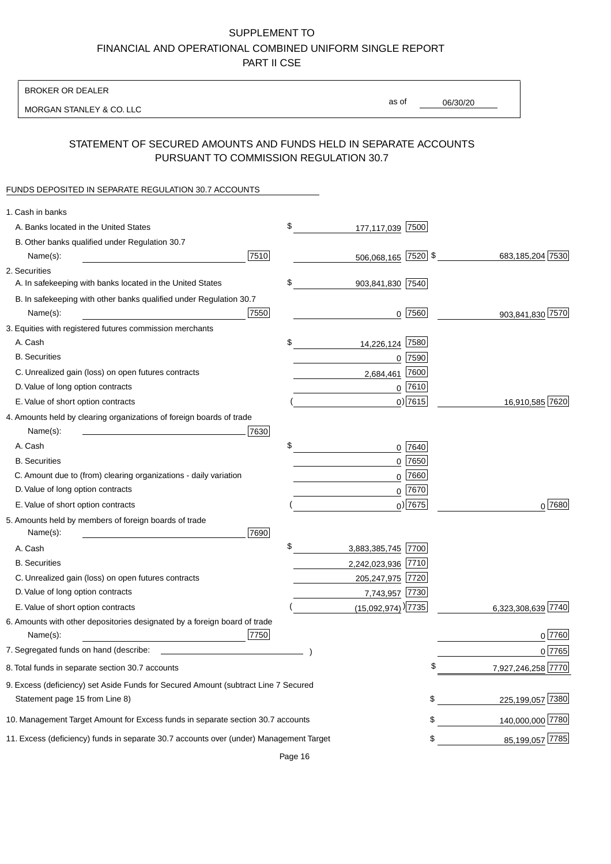BROKER OR DEALER

MORGAN STANLEY & CO. LLC

06/30/20

as of

## STATEMENT OF SECURED AMOUNTS AND FUNDS HELD IN SEPARATE ACCOUNTS PURSUANT TO COMMISSION REGULATION 30.7

#### FUNDS DEPOSITED IN SEPARATE REGULATION 30.7 ACCOUNTS

| 1. Cash in banks                                                                       |      |                                    |           |                    |
|----------------------------------------------------------------------------------------|------|------------------------------------|-----------|--------------------|
| A. Banks located in the United States                                                  | \$   | 177,117,039 7500                   |           |                    |
| B. Other banks qualified under Regulation 30.7                                         |      |                                    |           |                    |
| Name(s):                                                                               | 7510 | 506,068,165 7520 \$                |           | 683, 185, 204 7530 |
| 2. Securities                                                                          |      |                                    |           |                    |
| A. In safekeeping with banks located in the United States                              | \$   | 903,841,830 7540                   |           |                    |
| B. In safekeeping with other banks qualified under Regulation 30.7                     |      |                                    |           |                    |
| Name(s):                                                                               | 7550 |                                    | $0$  7560 | 903,841,830 7570   |
| 3. Equities with registered futures commission merchants                               |      |                                    |           |                    |
| A. Cash                                                                                | \$   | 14,226,124                         | 7580      |                    |
| <b>B.</b> Securities                                                                   |      |                                    | $0$ 7590  |                    |
| C. Unrealized gain (loss) on open futures contracts                                    |      | 2,684,461                          | 7600      |                    |
| D. Value of long option contracts                                                      |      |                                    | $0$ 7610  |                    |
| E. Value of short option contracts                                                     |      |                                    | $0)$ 7615 | 16,910,585 7620    |
| 4. Amounts held by clearing organizations of foreign boards of trade                   |      |                                    |           |                    |
| Name(s):                                                                               | 7630 |                                    |           |                    |
| A. Cash                                                                                | \$   |                                    | $0$ 7640  |                    |
| <b>B.</b> Securities                                                                   |      |                                    | $0$ 7650  |                    |
| C. Amount due to (from) clearing organizations - daily variation                       |      | 0                                  | 7660      |                    |
| D. Value of long option contracts                                                      |      |                                    | 0 7670    |                    |
| E. Value of short option contracts                                                     |      |                                    | $0)$ 7675 | $0^{7680}$         |
| 5. Amounts held by members of foreign boards of trade                                  |      |                                    |           |                    |
| Name(s):                                                                               | 7690 |                                    |           |                    |
| A. Cash                                                                                | \$   | 3,883,385,745 7700                 |           |                    |
| <b>B.</b> Securities                                                                   |      | 2,242,023,936 7710                 |           |                    |
| C. Unrealized gain (loss) on open futures contracts                                    |      | 205,247,975 7720                   |           |                    |
| D. Value of long option contracts                                                      |      | 7,743,957 7730                     |           |                    |
| E. Value of short option contracts                                                     |      | $(15,092,974)$ <sup>)</sup> [7735] |           | 6,323,308,639 7740 |
| 6. Amounts with other depositories designated by a foreign board of trade              |      |                                    |           |                    |
| Name(s):                                                                               | 7750 |                                    |           | 0 7760             |
| 7. Segregated funds on hand (describe:                                                 |      |                                    |           | 0 7765             |
| 8. Total funds in separate section 30.7 accounts                                       |      |                                    |           | 7,927,246,258 7770 |
| 9. Excess (deficiency) set Aside Funds for Secured Amount (subtract Line 7 Secured     |      |                                    |           |                    |
| Statement page 15 from Line 8)                                                         |      |                                    | \$        | 225,199,057 7380   |
| 10. Management Target Amount for Excess funds in separate section 30.7 accounts        |      |                                    | \$        | 140,000,000 7780   |
| 11. Excess (deficiency) funds in separate 30.7 accounts over (under) Management Target |      |                                    | \$        | 85,199,057 7785    |
|                                                                                        |      |                                    |           |                    |